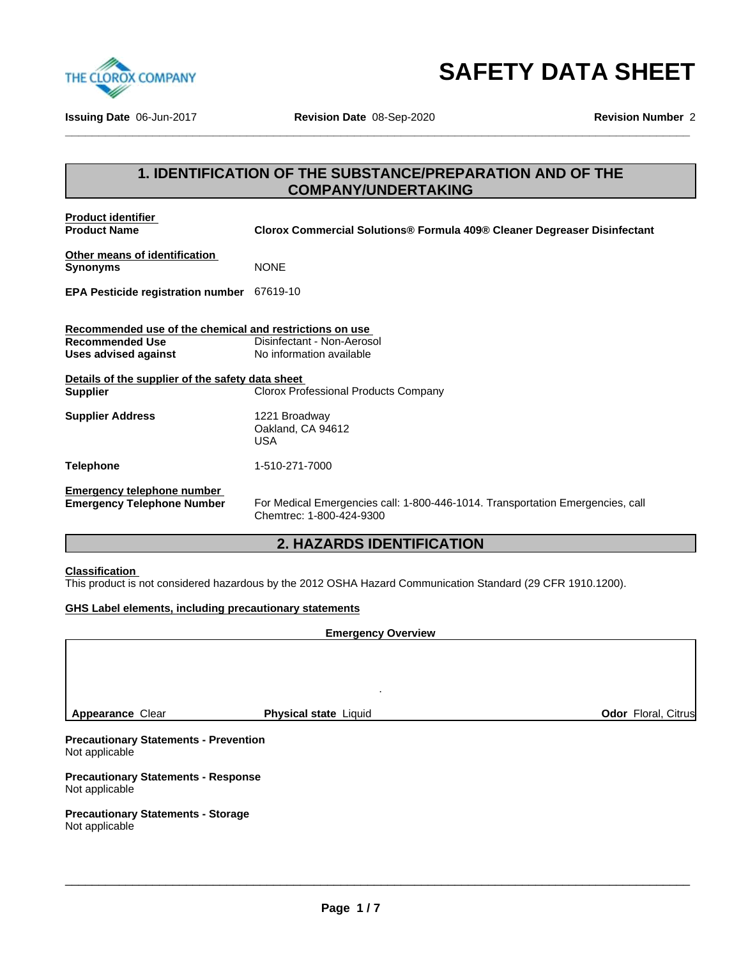

**\_\_\_\_\_\_\_\_\_\_\_\_\_\_\_\_\_\_\_\_\_\_\_\_\_\_\_\_\_\_\_\_\_\_\_\_\_\_\_\_\_\_\_\_\_\_\_\_\_\_\_\_\_\_\_\_\_\_\_\_\_\_\_\_\_\_\_\_\_\_\_\_\_\_\_\_\_\_\_\_\_\_\_\_\_\_\_\_\_\_\_\_\_ SAFETY DATA SHEET**

**Issuing Date** 06-Jun-2017 **Revision Date** 08-Sep-2020 **Revision Number** 2

## **1. IDENTIFICATION OF THE SUBSTANCE/PREPARATION AND OF THE COMPANY/UNDERTAKING**

| <b>Product identifier</b><br><b>Product Name</b>        | Clorox Commercial Solutions® Formula 409® Cleaner Degreaser Disinfectant                                   |
|---------------------------------------------------------|------------------------------------------------------------------------------------------------------------|
| Other means of identification<br><b>Synonyms</b>        | <b>NONE</b>                                                                                                |
| EPA Pesticide registration number 67619-10              |                                                                                                            |
| Recommended use of the chemical and restrictions on use |                                                                                                            |
| <b>Recommended Use</b>                                  | Disinfectant - Non-Aerosol                                                                                 |
| Uses advised against                                    | No information available                                                                                   |
| Details of the supplier of the safety data sheet        |                                                                                                            |
| <b>Supplier</b>                                         | <b>Clorox Professional Products Company</b>                                                                |
| <b>Supplier Address</b>                                 | 1221 Broadway<br>Oakland, CA 94612<br><b>USA</b>                                                           |
| <b>Telephone</b>                                        | 1-510-271-7000                                                                                             |
| <b>Emergency telephone number</b>                       |                                                                                                            |
| <b>Emergency Telephone Number</b>                       | For Medical Emergencies call: 1-800-446-1014. Transportation Emergencies, call<br>Chemtrec: 1-800-424-9300 |

## **2. HAZARDS IDENTIFICATION**

### **Classification**

This product is not considered hazardous by the 2012 OSHA Hazard Communication Standard (29 CFR 1910.1200).

### **GHS Label elements, including precautionary statements**

# **Emergency Overview Precautionary Statements - Prevention** Not applicable **Precautionary Statements - Response** Not applicable . **Appearance** Clear **Physical state** Liquid **Odor** Floral, Citrus

\_\_\_\_\_\_\_\_\_\_\_\_\_\_\_\_\_\_\_\_\_\_\_\_\_\_\_\_\_\_\_\_\_\_\_\_\_\_\_\_\_\_\_\_\_\_\_\_\_\_\_\_\_\_\_\_\_\_\_\_\_\_\_\_\_\_\_\_\_\_\_\_\_\_\_\_\_\_\_\_\_\_\_\_\_\_\_\_\_\_\_\_\_

#### **Precautionary Statements - Storage** Not applicable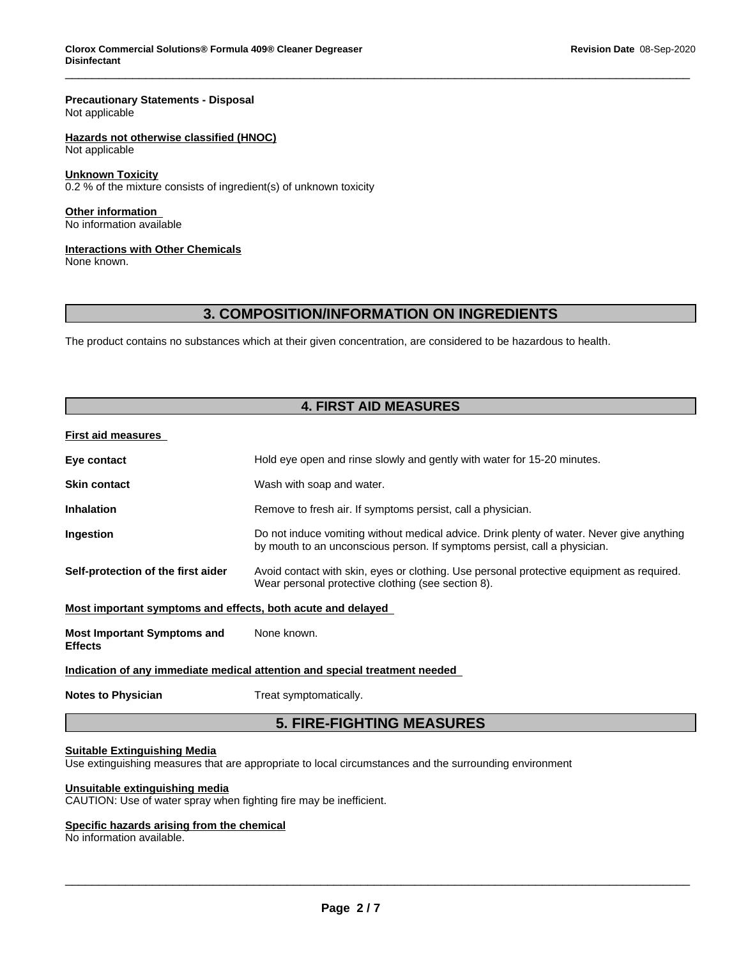#### **Precautionary Statements - Disposal** Not applicable

## **Hazards not otherwise classified (HNOC)**

Not applicable

### **Unknown Toxicity**

 $0.2$  % of the mixture consists of ingredient(s) of unknown toxicity

**Other information** No information available

### **Interactions with Other Chemicals**

None known.

## **3. COMPOSITION/INFORMATION ON INGREDIENTS**

The product contains no substances which at their given concentration, are considered to be hazardous to health.

## **4. FIRST AID MEASURES**

#### **First aid measures**

| Eye contact                                                 | Hold eye open and rinse slowly and gently with water for 15-20 minutes.                                                                                                |
|-------------------------------------------------------------|------------------------------------------------------------------------------------------------------------------------------------------------------------------------|
| <b>Skin contact</b>                                         | Wash with soap and water.                                                                                                                                              |
| <b>Inhalation</b>                                           | Remove to fresh air. If symptoms persist, call a physician.                                                                                                            |
| <b>Ingestion</b>                                            | Do not induce vomiting without medical advice. Drink plenty of water. Never give anything<br>by mouth to an unconscious person. If symptoms persist, call a physician. |
| Self-protection of the first aider                          | Avoid contact with skin, eyes or clothing. Use personal protective equipment as required.<br>Wear personal protective clothing (see section 8).                        |
| Most important symptoms and effects, both acute and delayed |                                                                                                                                                                        |
| <b>Most Important Symptoms and</b><br><b>Effects</b>        | None known.                                                                                                                                                            |

### **Indication of any immediate medical attention and special treatment needed**

**Notes to Physician** Treat symptomatically.

## **5. FIRE-FIGHTING MEASURES**

\_\_\_\_\_\_\_\_\_\_\_\_\_\_\_\_\_\_\_\_\_\_\_\_\_\_\_\_\_\_\_\_\_\_\_\_\_\_\_\_\_\_\_\_\_\_\_\_\_\_\_\_\_\_\_\_\_\_\_\_\_\_\_\_\_\_\_\_\_\_\_\_\_\_\_\_\_\_\_\_\_\_\_\_\_\_\_\_\_\_\_\_\_

### **Suitable Extinguishing Media**

Use extinguishing measures that are appropriate to local circumstances and the surrounding environment

### **Unsuitable extinguishing media**

CAUTION: Use of water spray when fighting fire may be inefficient.

### **Specific hazards arising from the chemical**

No information available.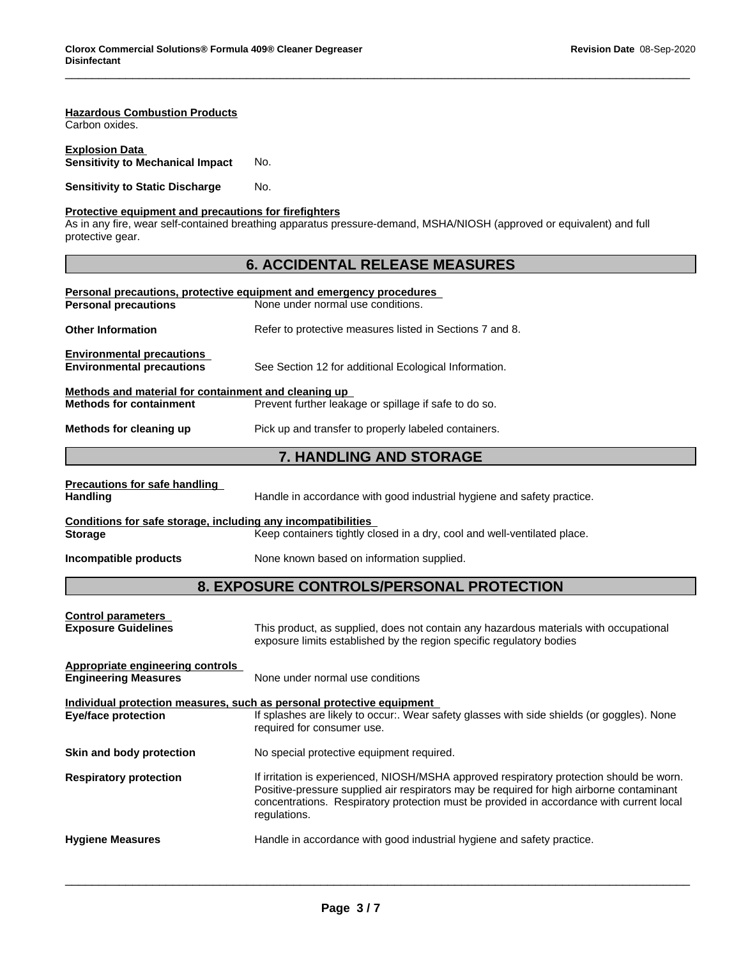| <b>Hazardous Combustion Products</b><br>Carbon oxides.                                 |                                                                                                                                                                                                                                                                                                  |  |  |
|----------------------------------------------------------------------------------------|--------------------------------------------------------------------------------------------------------------------------------------------------------------------------------------------------------------------------------------------------------------------------------------------------|--|--|
| <b>Explosion Data</b><br><b>Sensitivity to Mechanical Impact</b>                       | No.                                                                                                                                                                                                                                                                                              |  |  |
| <b>Sensitivity to Static Discharge</b>                                                 | No.                                                                                                                                                                                                                                                                                              |  |  |
| Protective equipment and precautions for firefighters<br>protective gear.              | As in any fire, wear self-contained breathing apparatus pressure-demand, MSHA/NIOSH (approved or equivalent) and full                                                                                                                                                                            |  |  |
|                                                                                        | <b>6. ACCIDENTAL RELEASE MEASURES</b>                                                                                                                                                                                                                                                            |  |  |
| <b>Personal precautions</b>                                                            | Personal precautions, protective equipment and emergency procedures<br>None under normal use conditions.                                                                                                                                                                                         |  |  |
| <b>Other Information</b>                                                               | Refer to protective measures listed in Sections 7 and 8.                                                                                                                                                                                                                                         |  |  |
| <b>Environmental precautions</b><br><b>Environmental precautions</b>                   | See Section 12 for additional Ecological Information.                                                                                                                                                                                                                                            |  |  |
| Methods and material for containment and cleaning up<br><b>Methods for containment</b> | Prevent further leakage or spillage if safe to do so.                                                                                                                                                                                                                                            |  |  |
| Methods for cleaning up                                                                | Pick up and transfer to properly labeled containers.                                                                                                                                                                                                                                             |  |  |
|                                                                                        | 7. HANDLING AND STORAGE                                                                                                                                                                                                                                                                          |  |  |
| <b>Precautions for safe handling</b><br><b>Handling</b>                                | Handle in accordance with good industrial hygiene and safety practice.                                                                                                                                                                                                                           |  |  |
| Conditions for safe storage, including any incompatibilities<br><b>Storage</b>         | Keep containers tightly closed in a dry, cool and well-ventilated place.                                                                                                                                                                                                                         |  |  |
| Incompatible products                                                                  | None known based on information supplied.                                                                                                                                                                                                                                                        |  |  |
|                                                                                        | 8. EXPOSURE CONTROLS/PERSONAL PROTECTION                                                                                                                                                                                                                                                         |  |  |
| <b>Control parameters</b><br><b>Exposure Guidelines</b>                                | This product, as supplied, does not contain any hazardous materials with occupational<br>exposure limits established by the region specific regulatory bodies                                                                                                                                    |  |  |
| <b>Appropriate engineering controls</b><br><b>Engineering Measures</b>                 | None under normal use conditions                                                                                                                                                                                                                                                                 |  |  |
| <b>Eye/face protection</b>                                                             | Individual protection measures, such as personal protective equipment<br>If splashes are likely to occur:. Wear safety glasses with side shields (or goggles). None<br>required for consumer use.                                                                                                |  |  |
| Skin and body protection                                                               | No special protective equipment required.                                                                                                                                                                                                                                                        |  |  |
| <b>Respiratory protection</b>                                                          | If irritation is experienced, NIOSH/MSHA approved respiratory protection should be worn.<br>Positive-pressure supplied air respirators may be required for high airborne contaminant<br>concentrations. Respiratory protection must be provided in accordance with current local<br>regulations. |  |  |
| <b>Hygiene Measures</b>                                                                | Handle in accordance with good industrial hygiene and safety practice.                                                                                                                                                                                                                           |  |  |
|                                                                                        |                                                                                                                                                                                                                                                                                                  |  |  |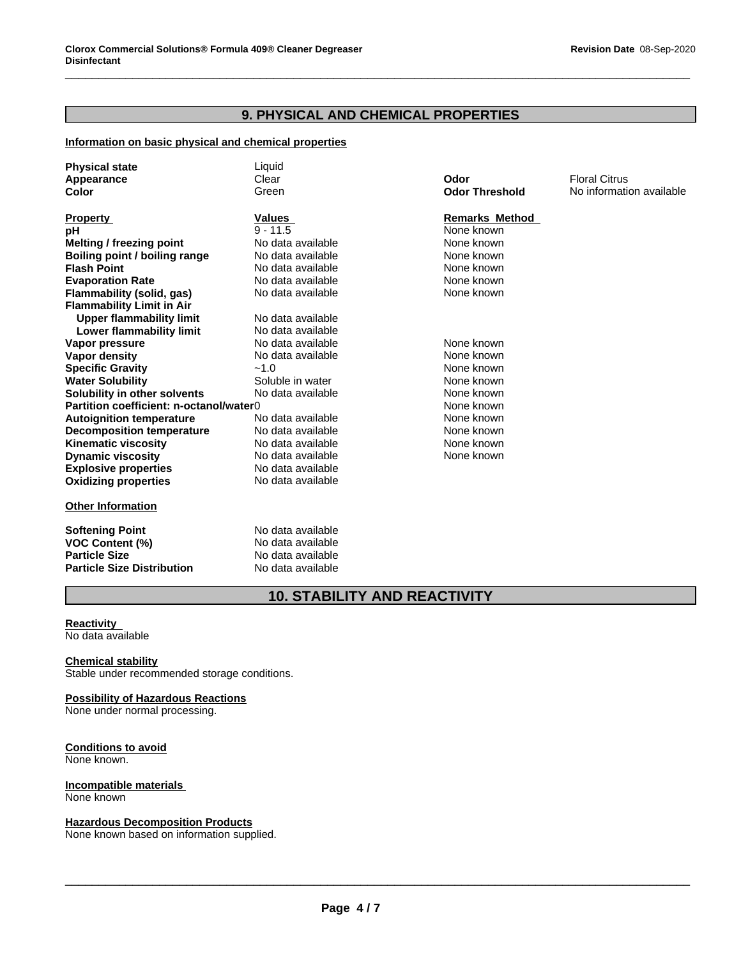## **9. PHYSICAL AND CHEMICAL PROPERTIES**

### **Information on basic physical and chemical properties**

| <b>Physical state</b>                   | Liquid            |                       |                          |
|-----------------------------------------|-------------------|-----------------------|--------------------------|
| Appearance                              | Clear             | Odor                  | <b>Floral Citrus</b>     |
| Color                                   | Green             | <b>Odor Threshold</b> | No information available |
|                                         |                   |                       |                          |
| <b>Property</b>                         | <b>Values</b>     | <b>Remarks Method</b> |                          |
| рH                                      | $9 - 11.5$        | None known            |                          |
| Melting / freezing point                | No data available | None known            |                          |
| Boiling point / boiling range           | No data available | None known            |                          |
| <b>Flash Point</b>                      | No data available | None known            |                          |
| <b>Evaporation Rate</b>                 | No data available | None known            |                          |
| Flammability (solid, gas)               | No data available | None known            |                          |
| <b>Flammability Limit in Air</b>        |                   |                       |                          |
| <b>Upper flammability limit</b>         | No data available |                       |                          |
| Lower flammability limit                | No data available |                       |                          |
| Vapor pressure                          | No data available | None known            |                          |
| <b>Vapor density</b>                    | No data available | None known            |                          |
| <b>Specific Gravity</b>                 | $-1.0$            | None known            |                          |
| <b>Water Solubility</b>                 | Soluble in water  | None known            |                          |
| Solubility in other solvents            | No data available | None known            |                          |
| Partition coefficient: n-octanol/water0 |                   | None known            |                          |
| <b>Autoignition temperature</b>         | No data available | None known            |                          |
| <b>Decomposition temperature</b>        | No data available | None known            |                          |
| <b>Kinematic viscosity</b>              | No data available | None known            |                          |
| <b>Dynamic viscosity</b>                | No data available | None known            |                          |
| <b>Explosive properties</b>             | No data available |                       |                          |
| <b>Oxidizing properties</b>             | No data available |                       |                          |
|                                         |                   |                       |                          |
| <b>Other Information</b>                |                   |                       |                          |
|                                         |                   |                       |                          |

**Softening Point** No data available **VOC Content (%)** No data available **Particle Size** No data available **Particle Size Distribution** No data available

## **10. STABILITY AND REACTIVITY**

#### **Reactivity** No data available

#### **Chemical stability**

Stable under recommended storage conditions.

#### **Possibility of Hazardous Reactions** None under normal processing.

#### **Conditions to avoid** None known.

#### **Incompatible materials** None known

**Hazardous Decomposition Products**

None known based on information supplied.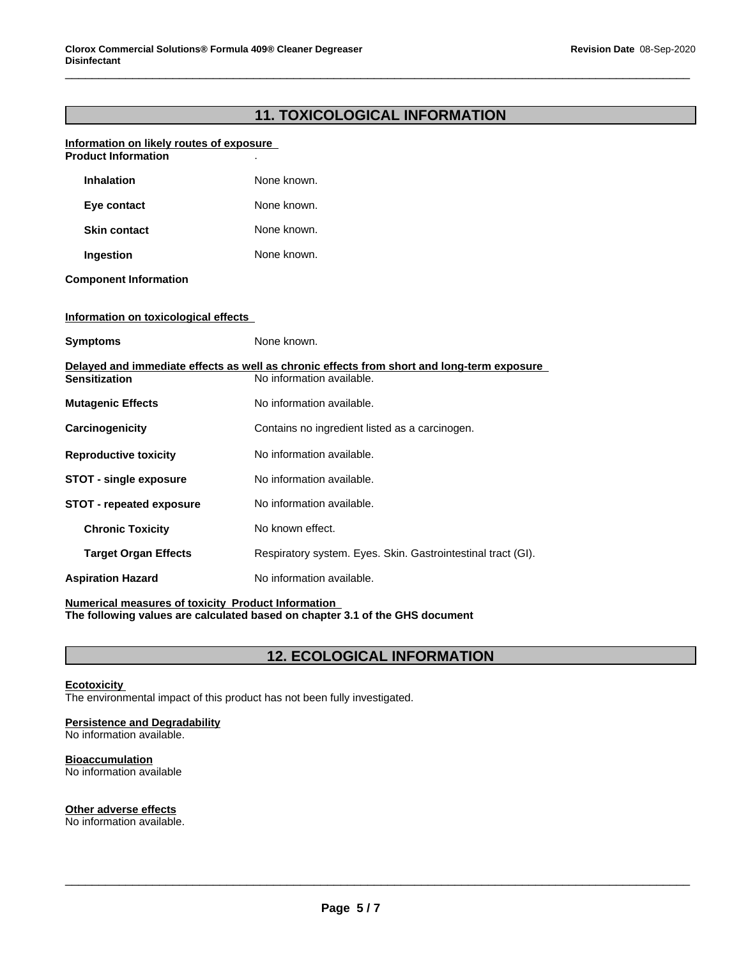## **11. TOXICOLOGICAL INFORMATION**

#### **Information on likely routes of exposure Product Information**

| <b>Inhalation</b>                    | None known.                                                                                                             |
|--------------------------------------|-------------------------------------------------------------------------------------------------------------------------|
| Eye contact                          | None known.                                                                                                             |
| <b>Skin contact</b>                  | None known.                                                                                                             |
| Ingestion                            | None known.                                                                                                             |
| <b>Component Information</b>         |                                                                                                                         |
| Information on toxicological effects |                                                                                                                         |
| <b>Symptoms</b>                      | None known.                                                                                                             |
| <b>Sensitization</b>                 | Delayed and immediate effects as well as chronic effects from short and long-term exposure<br>No information available. |
| <b>Mutagenic Effects</b>             | No information available.                                                                                               |
| Carcinogenicity                      | Contains no ingredient listed as a carcinogen.                                                                          |
| <b>Reproductive toxicity</b>         | No information available.                                                                                               |
| <b>STOT - single exposure</b>        | No information available.                                                                                               |
| <b>STOT - repeated exposure</b>      | No information available.                                                                                               |
| <b>Chronic Toxicity</b>              | No known effect.                                                                                                        |
| <b>Target Organ Effects</b>          | Respiratory system. Eyes. Skin. Gastrointestinal tract (GI).                                                            |
| <b>Aspiration Hazard</b>             | No information available.                                                                                               |

**Numerical measures of toxicity Product Information The following values are calculated based on chapter 3.1 of the GHS document**

## **12. ECOLOGICAL INFORMATION**

### **Ecotoxicity**

The environmental impact of this product has not been fully investigated.

### **Persistence and Degradability**

No information available.

### **Bioaccumulation**

No information available

### **Other adverse effects**

No information available.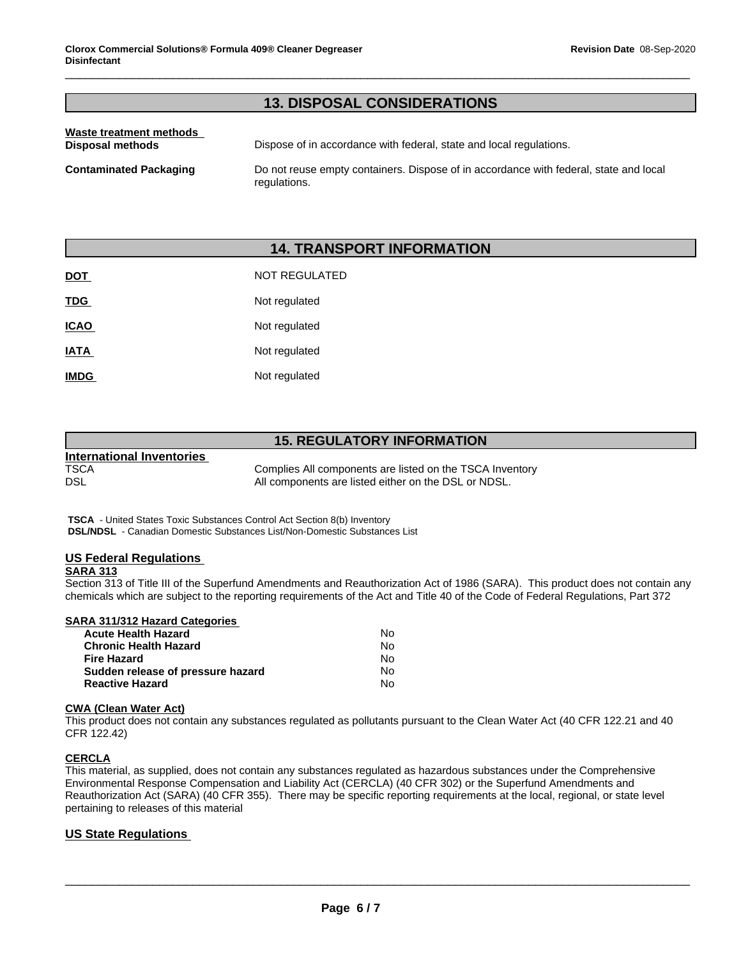## **13. DISPOSAL CONSIDERATIONS**

| Waste treatment methods<br>Disposal methods | Dispose of in accordance with federal, state and local regulations.                                   |
|---------------------------------------------|-------------------------------------------------------------------------------------------------------|
| <b>Contaminated Packaging</b>               | Do not reuse empty containers. Dispose of in accordance with federal, state and local<br>regulations. |

## **14. TRANSPORT INFORMATION**

| <u>DOT</u>  | <b>NOT REGULATED</b> |
|-------------|----------------------|
| <b>TDG</b>  | Not regulated        |
| <b>ICAO</b> | Not regulated        |
| <b>IATA</b> | Not regulated        |
| <b>IMDG</b> | Not regulated        |

## **15. REGULATORY INFORMATION**

|                                  | <u>IU. INLUULATUINTIINI UINIMATIUIN</u>                  |
|----------------------------------|----------------------------------------------------------|
| <b>International Inventories</b> |                                                          |
| TSCA                             | Complies All components are listed on the TSCA Inventory |
| DSL                              | All components are listed either on the DSL or NDSL.     |

 **TSCA** - United States Toxic Substances Control Act Section 8(b) Inventory  **DSL/NDSL** - Canadian Domestic Substances List/Non-Domestic Substances List

## **US Federal Regulations**

### **SARA 313**

Section 313 of Title III of the Superfund Amendments and Reauthorization Act of 1986 (SARA). This product does not contain any chemicals which are subject to the reporting requirements of the Act and Title 40 of the Code of Federal Regulations, Part 372

| SARA 311/312 Hazard Categories    |    |  |
|-----------------------------------|----|--|
| <b>Acute Health Hazard</b>        | No |  |
| <b>Chronic Health Hazard</b>      | No |  |
| <b>Fire Hazard</b>                | No |  |
| Sudden release of pressure hazard | No |  |
| <b>Reactive Hazard</b>            | N٥ |  |

### **CWA** (Clean Water Act)

This product does not contain any substances regulated as pollutants pursuant to the Clean Water Act (40 CFR 122.21 and 40 CFR 122.42)

### **CERCLA**

This material, as supplied, does not contain any substances regulated as hazardous substances under the Comprehensive Environmental Response Compensation and Liability Act (CERCLA) (40 CFR 302) or the Superfund Amendments and Reauthorization Act (SARA) (40 CFR 355). There may be specific reporting requirements at the local, regional, or state level pertaining to releases of this material

\_\_\_\_\_\_\_\_\_\_\_\_\_\_\_\_\_\_\_\_\_\_\_\_\_\_\_\_\_\_\_\_\_\_\_\_\_\_\_\_\_\_\_\_\_\_\_\_\_\_\_\_\_\_\_\_\_\_\_\_\_\_\_\_\_\_\_\_\_\_\_\_\_\_\_\_\_\_\_\_\_\_\_\_\_\_\_\_\_\_\_\_\_

### **US State Regulations**